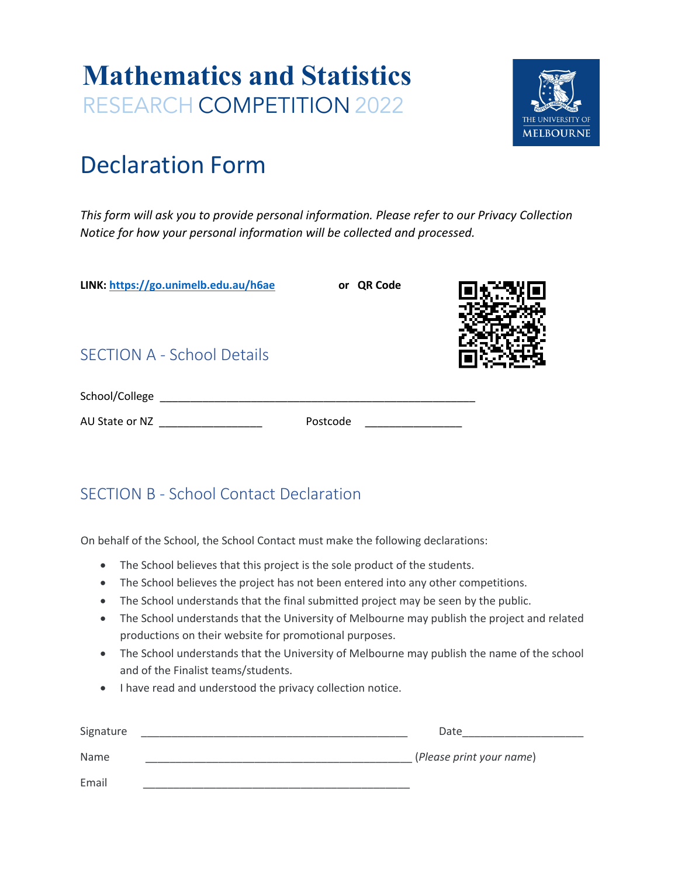# **Mathematics and Statistics** RESEARCH COMPETITION 2022



## Declaration Form

*This form will ask you to provide personal information. Please refer to our Privacy Collection Notice for how your personal information will be collected and processed.* 

**LINK: https://go.unimelb.edu.au/h6ae or QR Code** 

### SECTION A - School Details

| School/College |          |  |
|----------------|----------|--|
| AU State or NZ | Postcode |  |

### SECTION B - School Contact Declaration

On behalf of the School, the School Contact must make the following declarations:

- The School believes that this project is the sole product of the students.
- The School believes the project has not been entered into any other competitions.
- The School understands that the final submitted project may be seen by the public.
- The School understands that the University of Melbourne may publish the project and related productions on their website for promotional purposes.
- The School understands that the University of Melbourne may publish the name of the school and of the Finalist teams/students.
- I have read and understood the privacy collection notice.

| Signature | Date                     |
|-----------|--------------------------|
| Name      | (Please print your name) |
| Email     |                          |